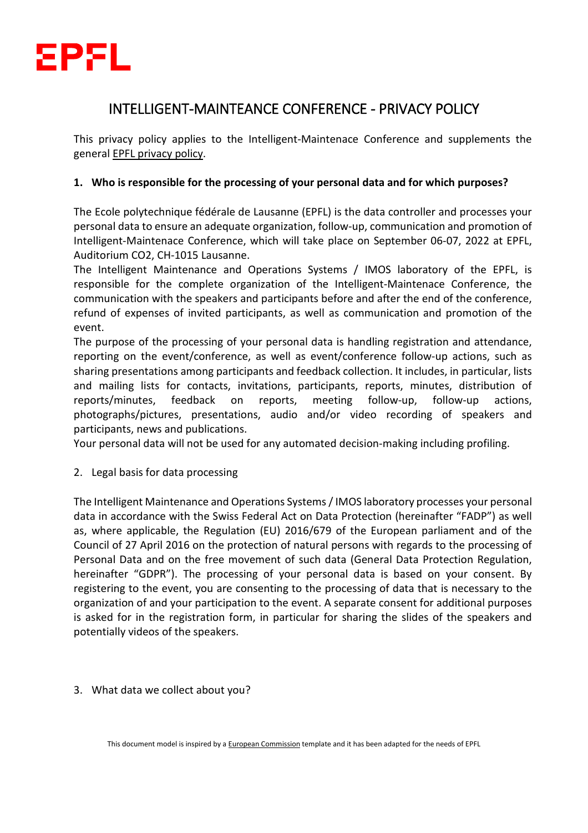

# INTELLIGENT-MAINTEANCE CONFERENCE - PRIVACY POLICY

This privacy policy applies to the Intelligent-Maintenace Conference and supplements the general [EPFL privacy policy.](https://go.epfl.ch/privacy-policy)

## **1. Who is responsible for the processing of your personal data and for which purposes?**

The Ecole polytechnique fédérale de Lausanne (EPFL) is the data controller and processes your personal data to ensure an adequate organization, follow-up, communication and promotion of Intelligent-Maintenace Conference, which will take place on September 06-07, 2022 at EPFL, Auditorium CO2, CH-1015 Lausanne.

The Intelligent Maintenance and Operations Systems / IMOS laboratory of the EPFL, is responsible for the complete organization of the Intelligent-Maintenace Conference, the communication with the speakers and participants before and after the end of the conference, refund of expenses of invited participants, as well as communication and promotion of the event.

The purpose of the processing of your personal data is handling registration and attendance, reporting on the event/conference, as well as event/conference follow-up actions, such as sharing presentations among participants and feedback collection. It includes, in particular, lists and mailing lists for contacts, invitations, participants, reports, minutes, distribution of reports/minutes, feedback on reports, meeting follow-up, follow-up actions, photographs/pictures, presentations, audio and/or video recording of speakers and participants, news and publications.

Your personal data will not be used for any automated decision-making including profiling.

#### 2. Legal basis for data processing

The Intelligent Maintenance and Operations Systems / IMOS laboratory processes your personal data in accordance with the Swiss Federal Act on Data Protection (hereinafter "FADP") as well as, where applicable, the Regulation (EU) 2016/679 of the European parliament and of the Council of 27 April 2016 on the protection of natural persons with regards to the processing of Personal Data and on the free movement of such data (General Data Protection Regulation, hereinafter "GDPR"). The processing of your personal data is based on your consent. By registering to the event, you are consenting to the processing of data that is necessary to the organization of and your participation to the event. A separate consent for additional purposes is asked for in the registration form, in particular for sharing the slides of the speakers and potentially videos of the speakers.

3. What data we collect about you?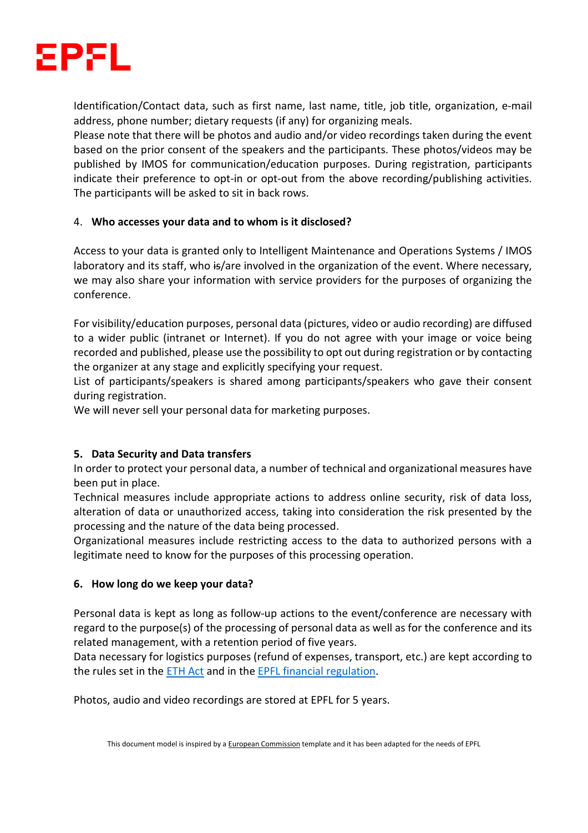

Identification/Contact data, such as first name, last name, title, job title, organization, e-mail address, phone number; dietary requests (if any) for organizing meals.

Please note that there will be photos and audio and/or video recordings taken during the event based on the prior consent of the speakers and the participants. These photos/videos may be published by IMOS for communication/education purposes. During registration, participants indicate their preference to opt-in or opt-out from the above recording/publishing activities. The participants will be asked to sit in back rows.

#### 4. **Who accesses your data and to whom is it disclosed?**

Access to your data is granted only to Intelligent Maintenance and Operations Systems / IMOS laboratory and its staff, who is/are involved in the organization of the event. Where necessary, we may also share your information with service providers for the purposes of organizing the conference.

For visibility/education purposes, personal data (pictures, video or audio recording) are diffused to a wider public (intranet or Internet). If you do not agree with your image or voice being recorded and published, please use the possibility to opt out during registration or by contacting the organizer at any stage and explicitly specifying your request.

List of participants/speakers is shared among participants/speakers who gave their consent during registration.

We will never sell your personal data for marketing purposes.

## **5. Data Security and Data transfers**

In order to protect your personal data, a number of technical and organizational measures have been put in place.

Technical measures include appropriate actions to address online security, risk of data loss, alteration of data or unauthorized access, taking into consideration the risk presented by the processing and the nature of the data being processed.

Organizational measures include restricting access to the data to authorized persons with a legitimate need to know for the purposes of this processing operation.

#### **6. How long do we keep your data?**

Personal data is kept as long as follow-up actions to the event/conference are necessary with regard to the purpose(s) of the processing of personal data as well as for the conference and its related management, with a retention period of five years.

Data necessary for logistics purposes (refund of expenses, transport, etc.) are kept according to the rules set in the [ETH Act](https://www.fedlex.admin.ch/eli/cc/1993/1945_1945_1945/fr) and in the [EPFL financial regulation.](https://www.epfl.ch/about/overview/wp-content/uploads/2021/01/LEX-5.1.1_FR.pdf)

Photos, audio and video recordings are stored at EPFL for 5 years.